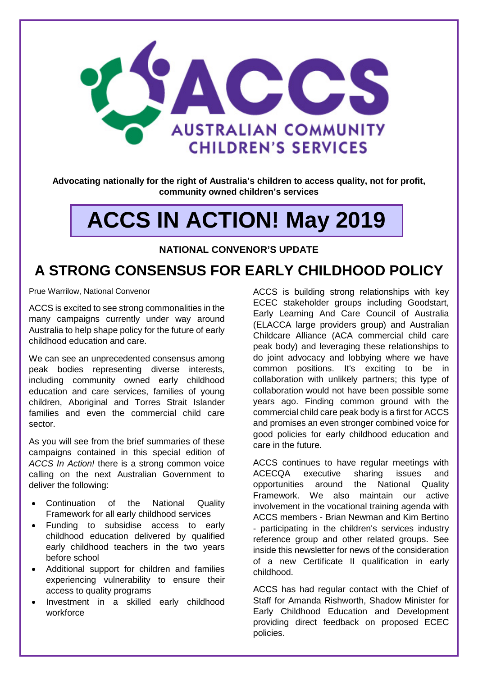

**Advocating nationally for the right of Australia's children to access quality, not for profit, community owned children's services**

# **ACCS IN ACTION! May 2019**

#### **NATIONAL CONVENOR'S UPDATE**

### **A STRONG CONSENSUS FOR EARLY CHILDHOOD POLICY**

Prue Warrilow, National Convenor

ACCS is excited to see strong commonalities in the many campaigns currently under way around Australia to help shape policy for the future of early childhood education and care.

We can see an unprecedented consensus among peak bodies representing diverse interests, including community owned early childhood education and care services, families of young children, Aboriginal and Torres Strait Islander families and even the commercial child care sector.

As you will see from the brief summaries of these campaigns contained in this special edition of *ACCS In Action!* there is a strong common voice calling on the next Australian Government to deliver the following:

- Continuation of the National Quality Framework for all early childhood services
- Funding to subsidise access to early childhood education delivered by qualified early childhood teachers in the two years before school
- Additional support for children and families experiencing vulnerability to ensure their access to quality programs
- Investment in a skilled early childhood workforce

ACCS is building strong relationships with key ECEC stakeholder groups including Goodstart, Early Learning And Care Council of Australia (ELACCA large providers group) and Australian Childcare Alliance (ACA commercial child care peak body) and leveraging these relationships to do joint advocacy and lobbying where we have common positions. It's exciting to be in collaboration with unlikely partners; this type of collaboration would not have been possible some years ago. Finding common ground with the commercial child care peak body is a first for ACCS and promises an even stronger combined voice for good policies for early childhood education and care in the future.

ACCS continues to have regular meetings with ACECQA executive sharing issues and opportunities around the National Quality Framework. We also maintain our active involvement in the vocational training agenda with ACCS members - Brian Newman and Kim Bertino - participating in the children's services industry reference group and other related groups. See inside this newsletter for news of the consideration of a new Certificate II qualification in early childhood.

ACCS has had regular contact with the Chief of Staff for Amanda Rishworth, Shadow Minister for Early Childhood Education and Development providing direct feedback on proposed ECEC policies.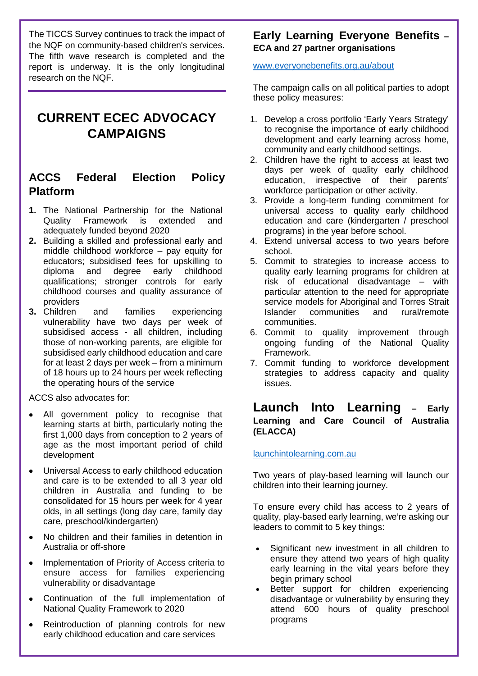The TICCS Survey continues to track the impact of the NQF on community-based children's services. The fifth wave research is completed and the report is underway. It is the only longitudinal research on the NQF.

### **CURRENT ECEC ADVOCACY CAMPAIGNS**

#### **ACCS Federal Election Policy Platform**

- **1.** The National Partnership for the National Quality Framework is extended and adequately funded beyond 2020
- **2.** Building a skilled and professional early and middle childhood workforce – pay equity for educators; subsidised fees for upskilling to diploma and degree early childhood qualifications; stronger controls for early childhood courses and quality assurance of providers<br>3. Children
- and families experiencing vulnerability have two days per week of subsidised access - all children, including those of non-working parents, are eligible for subsidised early childhood education and care for at least 2 days per week – from a minimum of 18 hours up to 24 hours per week reflecting the operating hours of the service

ACCS also advocates for:

- All government policy to recognise that learning starts at birth, particularly noting the first 1,000 days from conception to 2 years of age as the most important period of child development
- Universal Access to early childhood education and care is to be extended to all 3 year old children in Australia and funding to be consolidated for 15 hours per week for 4 year olds, in all settings (long day care, family day care, preschool/kindergarten)
- No children and their families in detention in Australia or off-shore
- Implementation of Priority of Access criteria to ensure access for families experiencing vulnerability or disadvantage
- Continuation of the full implementation of National Quality Framework to 2020
- Reintroduction of planning controls for new early childhood education and care services

#### **Early Learning Everyone Benefits – ECA and 27 partner organisations**

[www.everyonebenefits.org.au/about](http://www.everyonebenefits.org.au/about)

The campaign calls on all political parties to adopt these policy measures:

- 1. Develop a cross portfolio 'Early Years Strategy' to recognise the importance of early childhood development and early learning across home, community and early childhood settings.
- 2. Children have the right to access at least two days per week of quality early childhood education, irrespective of their parents' workforce participation or other activity.
- 3. Provide a long-term funding commitment for universal access to quality early childhood education and care (kindergarten / preschool programs) in the year before school.
- 4. Extend universal access to two years before school.
- 5. Commit to strategies to increase access to quality early learning programs for children at risk of educational disadvantage – with particular attention to the need for appropriate service models for Aboriginal and Torres Strait<br>Islander communities and rural/remote communities communities.
- 6. Commit to quality improvement through ongoing funding of the National Quality Framework.
- 7. Commit funding to workforce development strategies to address capacity and quality issues.

#### **Launch Into Learning – Early Learning and Care Council of Australia (ELACCA)**

launchintolearning.com.au

Two years of play-based learning will launch our children into their learning journey.

To ensure every child has access to 2 years of quality, play-based early learning, we're asking our leaders to commit to 5 key things:

- Significant new investment in all children to ensure they attend two years of high quality early learning in the vital years before they begin primary school
- Better support for children experiencing disadvantage or vulnerability by ensuring they attend 600 hours of quality preschool programs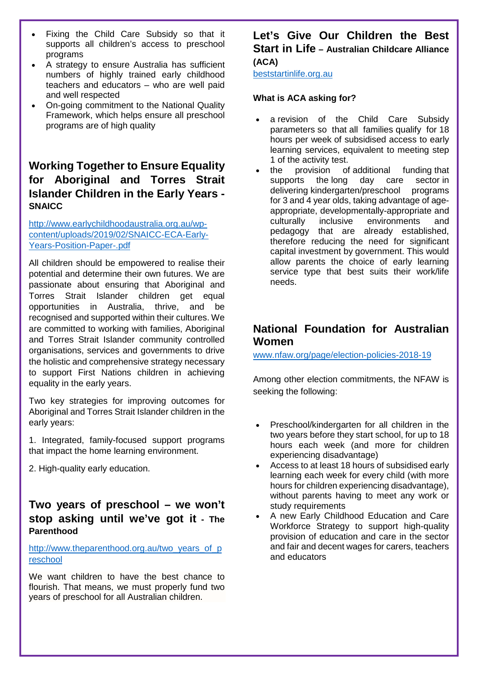- Fixing the Child Care Subsidy so that it supports all children's access to preschool programs
- A strategy to ensure Australia has sufficient numbers of highly trained early childhood teachers and educators – who are well paid and well respected
- On-going commitment to the National Quality Framework, which helps ensure all preschool programs are of high quality

#### **Working Together to Ensure Equality for Aboriginal and Torres Strait Islander Children in the Early Years - SNAICC**

[http://www.earlychildhoodaustralia.org.au/wp](http://www.earlychildhoodaustralia.org.au/wp-content/uploads/2019/02/SNAICC-ECA-Early-Years-Position-Paper-.pdf)[content/uploads/2019/02/SNAICC-ECA-Early-](http://www.earlychildhoodaustralia.org.au/wp-content/uploads/2019/02/SNAICC-ECA-Early-Years-Position-Paper-.pdf)[Years-Position-Paper-.pdf](http://www.earlychildhoodaustralia.org.au/wp-content/uploads/2019/02/SNAICC-ECA-Early-Years-Position-Paper-.pdf)

All children should be empowered to realise their potential and determine their own futures. We are passionate about ensuring that Aboriginal and Torres Strait Islander children get equal opportunities in Australia, thrive, and be recognised and supported within their cultures. We are committed to working with families, Aboriginal and Torres Strait Islander community controlled organisations, services and governments to drive the holistic and comprehensive strategy necessary to support First Nations children in achieving equality in the early years.

Two key strategies for improving outcomes for Aboriginal and Torres Strait Islander children in the early years:

- 1. Integrated, family-focused support programs that impact the home learning environment.
- 2. High-quality early education.

#### **Two years of preschool – we won't stop asking until we've got it - The Parenthood**

[http://www.theparenthood.org.au/two\\_years\\_of\\_p](http://www.theparenthood.org.au/two_years_of_preschool) [reschool](http://www.theparenthood.org.au/two_years_of_preschool)

We want children to have the best chance to flourish. That means, we must properly fund two years of preschool for all Australian children.

#### **Let's Give Our Children the Best Start in Life – Australian Childcare Alliance (ACA)**

beststartinlife.org.au

#### **What is ACA asking for?**

- a revision of the Child Care Subsidy parameters so that all families qualify for 18 hours per week of subsidised access to early learning services, equivalent to meeting step 1 of the activity test.
- the provision of additional funding that supports the long day care sector in delivering kindergarten/preschool programs for 3 and 4 year olds, taking advantage of ageappropriate, developmentally-appropriate and culturally inclusive environments and pedagogy that are already established, therefore reducing the need for significant capital investment by government. This would allow parents the choice of early learning service type that best suits their work/life needs.

#### **National Foundation for Australian Women**

[www.nfaw.org/page/election-policies-2018-19](http://www.nfaw.org/page/election-policies-2018-19)

Among other election commitments, the NFAW is seeking the following:

- Preschool/kindergarten for all children in the two years before they start school, for up to 18 hours each week (and more for children experiencing disadvantage)
- Access to at least 18 hours of subsidised early learning each week for every child (with more hours for children experiencing disadvantage), without parents having to meet any work or study requirements
- A new Early Childhood Education and Care Workforce Strategy to support high-quality provision of education and care in the sector and fair and decent wages for carers, teachers and educators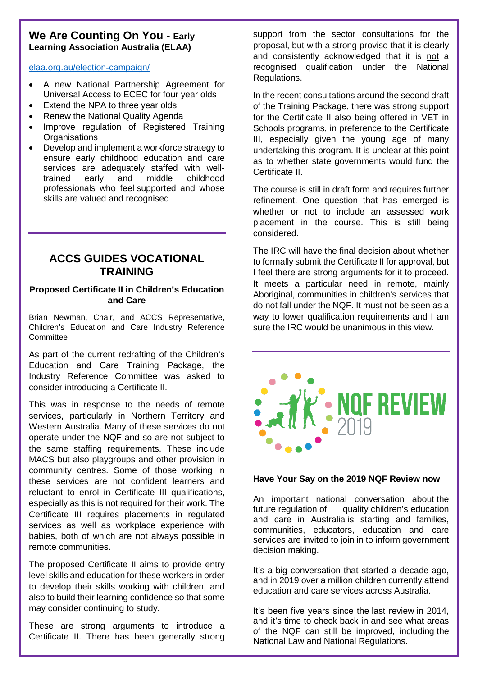#### **We Are Counting On You - Early Learning Association Australia (ELAA)**

elaa.org.au/election-campaign/

- A new National Partnership Agreement for Universal Access to ECEC for four year olds
- Extend the NPA to three year olds
- Renew the National Quality Agenda
- Improve regulation of Registered Training **Organisations**
- Develop and implement a workforce strategy to ensure early childhood education and care services are adequately staffed with welltrained early and middle childhood professionals who feel supported and whose skills are valued and recognised

#### **ACCS GUIDES VOCATIONAL TRAINING**

#### **Proposed Certificate II in Children's Education and Care**

Brian Newman, Chair, and ACCS Representative, Children's Education and Care Industry Reference Committee

As part of the current redrafting of the Children's Education and Care Training Package, the Industry Reference Committee was asked to consider introducing a Certificate II.

This was in response to the needs of remote services, particularly in Northern Territory and Western Australia. Many of these services do not operate under the NQF and so are not subject to the same staffing requirements. These include MACS but also playgroups and other provision in community centres. Some of those working in these services are not confident learners and reluctant to enrol in Certificate III qualifications, especially as this is not required for their work. The Certificate III requires placements in regulated services as well as workplace experience with babies, both of which are not always possible in remote communities.

The proposed Certificate II aims to provide entry level skills and education for these workers in order to develop their skills working with children, and also to build their learning confidence so that some may consider continuing to study.

These are strong arguments to introduce a Certificate II. There has been generally strong support from the sector consultations for the proposal, but with a strong proviso that it is clearly and consistently acknowledged that it is not a recognised qualification under the National Regulations.

In the recent consultations around the second draft of the Training Package, there was strong support for the Certificate II also being offered in VET in Schools programs, in preference to the Certificate III, especially given the young age of many undertaking this program. It is unclear at this point as to whether state governments would fund the Certificate II.

The course is still in draft form and requires further refinement. One question that has emerged is whether or not to include an assessed work placement in the course. This is still being considered.

The IRC will have the final decision about whether to formally submit the Certificate II for approval, but I feel there are strong arguments for it to proceed. It meets a particular need in remote, mainly Aboriginal, communities in children's services that do not fall under the NQF. It must not be seen as a way to lower qualification requirements and I am sure the IRC would be unanimous in this view.



#### **Have Your Say on the 2019 NQF Review now**

An important national conversation about the future regulation of guality children's education and care in Australia is starting and families, communities, educators, education and care services are invited to join in to inform government decision making.

It's a big conversation that started a decade ago, and in 2019 over a million children currently attend education and care services across Australia.

It's been five years since the last review in 2014, and it's time to check back in and see what areas of the NQF can still be improved, including the National Law and National Regulations.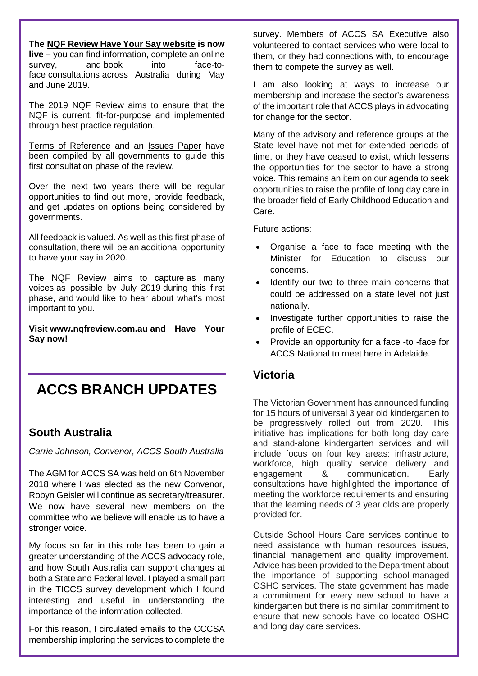**The [NQF Review Have Your Say website](http://www.nqfreview.com.au/) is now live –** you can find information, complete an online survey, and book into face-toface consultations across Australia during May and June 2019.

The 2019 NQF Review aims to ensure that the NQF is current, fit-for-purpose and implemented through best practice regulation.

[Terms of Reference](https://www.nqfreview.com.au/44855/documents/103112/download) and an [Issues Paper](https://www.nqfreview.com.au/44855/documents/102547) have been compiled by all governments to guide this first consultation phase of the review.

Over the next two years there will be regular opportunities to find out more, provide feedback, and get updates on options being considered by governments.

All feedback is valued. As well as this first phase of consultation, there will be an additional opportunity to have your say in 2020.

The NQF Review aims to capture as many voices as possible by July 2019 during this first phase, and would like to hear about what's most important to you.

**Visit [www.nqfreview.com.au](http://www.nqfreview.com.au/) and Have Your Say now!**

## **ACCS BRANCH UPDATES**

#### **South Australia**

*Carrie Johnson, Convenor, ACCS South Australia*

The AGM for ACCS SA was held on 6th November 2018 where I was elected as the new Convenor, Robyn Geisler will continue as secretary/treasurer. We now have several new members on the committee who we believe will enable us to have a stronger voice.

My focus so far in this role has been to gain a greater understanding of the ACCS advocacy role, and how South Australia can support changes at both a State and Federal level. I played a small part in the TICCS survey development which I found interesting and useful in understanding the importance of the information collected.

For this reason, I circulated emails to the CCCSA membership imploring the services to complete the

survey. Members of ACCS SA Executive also volunteered to contact services who were local to them, or they had connections with, to encourage them to compete the survey as well.

I am also looking at ways to increase our membership and increase the sector's awareness of the important role that ACCS plays in advocating for change for the sector.

Many of the advisory and reference groups at the State level have not met for extended periods of time, or they have ceased to exist, which lessens the opportunities for the sector to have a strong voice. This remains an item on our agenda to seek opportunities to raise the profile of long day care in the broader field of Early Childhood Education and Care.

Future actions:

- Organise a face to face meeting with the Minister for Education to discuss our concerns.
- Identify our two to three main concerns that could be addressed on a state level not just nationally.
- Investigate further opportunities to raise the profile of ECEC.
- Provide an opportunity for a face -to -face for ACCS National to meet here in Adelaide.

#### **Victoria**

The Victorian Government has announced funding for 15 hours of universal 3 year old kindergarten to be progressively rolled out from 2020. This initiative has implications for both long day care and stand-alone kindergarten services and will include focus on four key areas: infrastructure, workforce, high quality service delivery and engagement & communication. Early consultations have highlighted the importance of meeting the workforce requirements and ensuring that the learning needs of 3 year olds are properly provided for.

Outside School Hours Care services continue to need assistance with human resources issues, financial management and quality improvement. Advice has been provided to the Department about the importance of supporting school-managed OSHC services. The state government has made a commitment for every new school to have a kindergarten but there is no similar commitment to ensure that new schools have co-located OSHC and long day care services.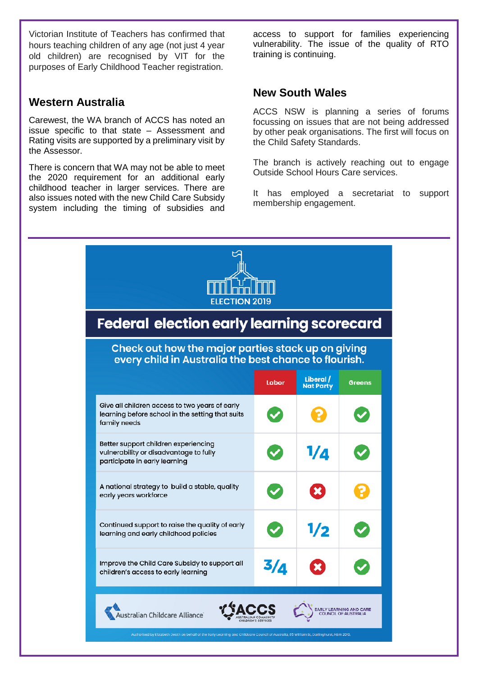Victorian Institute of Teachers has confirmed that hours teaching children of any age (not just 4 year old children) are recognised by VIT for the purposes of Early Childhood Teacher registration.

#### **Western Australia**

÷

Carewest, the WA branch of ACCS has noted an issue specific to that state – Assessment and Rating visits are supported by a preliminary visit by the Assessor.

There is concern that WA may not be able to meet the 2020 requirement for an additional early childhood teacher in larger services. There are also issues noted with the new Child Care Subsidy system including the timing of subsidies and

access to support for families experiencing vulnerability. The issue of the quality of RTO training is continuing.

#### **New South Wales**

ACCS NSW is planning a series of forums focussing on issues that are not being addressed by other peak organisations. The first will focus on the Child Safety Standards.

The branch is actively reaching out to engage Outside School Hours Care services.

It has employed a secretariat to support membership engagement.

| <b>Federal election early learning scorecard</b><br>Check out how the major parties stack up on giving<br>every child in Australia the best chance to flourish. |     |            |  |
|-----------------------------------------------------------------------------------------------------------------------------------------------------------------|-----|------------|--|
|                                                                                                                                                                 |     |            |  |
| Give all children access to two years of early<br>learning before school in the setting that suits<br>family needs                                              |     |            |  |
| Better support children experiencing<br>vulnerability or disadvantage to fully<br>participate in early learning                                                 |     | $1/\Delta$ |  |
| A national strategy to build a stable, quality<br>early years workforce                                                                                         |     |            |  |
| Continued support to raise the quality of early<br>learning and early childhood policies                                                                        |     | 1/2        |  |
| Improve the Child Care Subsidy to support all<br>children's access to early learning                                                                            | 3/д |            |  |